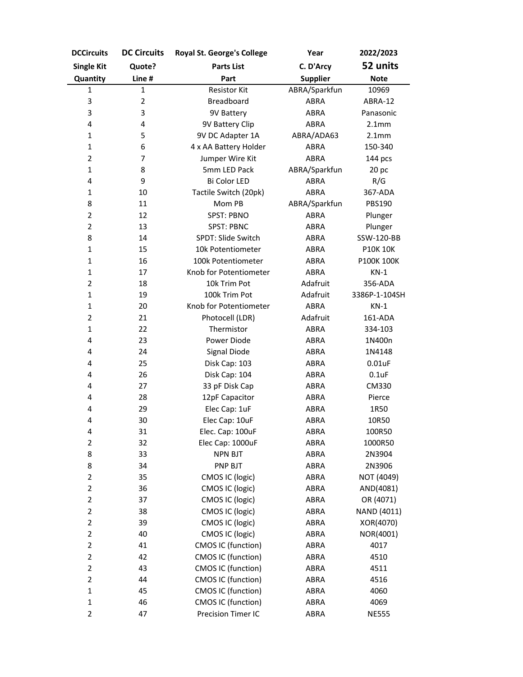| <b>DCCircuits</b>       | <b>DC Circuits</b> | Royal St. George's College | Year            | 2022/2023                   |
|-------------------------|--------------------|----------------------------|-----------------|-----------------------------|
| <b>Single Kit</b>       | Quote?             | <b>Parts List</b>          | C. D'Arcy       | 52 units                    |
| Quantity                | Line #             | Part                       | <b>Supplier</b> | <b>Note</b>                 |
| 1                       | $\mathbf{1}$       | <b>Resistor Kit</b>        | ABRA/Sparkfun   | 10969                       |
| 3                       | $\overline{2}$     | <b>Breadboard</b>          | ABRA            | ABRA-12                     |
| 3                       | 3                  | 9V Battery                 | ABRA            | Panasonic                   |
| 4                       | 4                  | 9V Battery Clip            | ABRA            | 2.1mm                       |
| 1                       | 5                  | 9V DC Adapter 1A           | ABRA/ADA63      | 2.1mm                       |
| $\mathbf{1}$            | 6                  | 4 x AA Battery Holder      | ABRA            | 150-340                     |
| $\overline{2}$          | 7                  | Jumper Wire Kit            | <b>ABRA</b>     | 144 pcs                     |
| $\mathbf{1}$            | 8                  | 5mm LED Pack               | ABRA/Sparkfun   | 20 <sub>p<sub>c</sub></sub> |
| 4                       | 9                  | Bi Color LED               | ABRA            | R/G                         |
| 1                       | 10                 | Tactile Switch (20pk)      | ABRA            | 367-ADA                     |
| 8                       | 11                 | Mom PB                     | ABRA/Sparkfun   | PBS190                      |
| $\mathbf{2}$            | 12                 | <b>SPST: PBNO</b>          | <b>ABRA</b>     | Plunger                     |
| $\overline{2}$          | 13                 | <b>SPST: PBNC</b>          | <b>ABRA</b>     | Plunger                     |
| 8                       | 14                 | SPDT: Slide Switch         | <b>ABRA</b>     | SSW-120-BB                  |
| $\mathbf{1}$            | 15                 | 10k Potentiometer          | ABRA            | <b>P10K 10K</b>             |
| $\mathbf{1}$            | 16                 | 100k Potentiometer         | <b>ABRA</b>     | P100K 100K                  |
| $\mathbf 1$             | 17                 | Knob for Potentiometer     | <b>ABRA</b>     | $KN-1$                      |
| $\overline{2}$          | 18                 | 10k Trim Pot               | Adafruit        | 356-ADA                     |
| $\mathbf{1}$            | 19                 | 100k Trim Pot              | Adafruit        | 3386P-1-104SH               |
| $\mathbf{1}$            | 20                 | Knob for Potentiometer     | ABRA            | $KN-1$                      |
| $\overline{2}$          | 21                 | Photocell (LDR)            | Adafruit        | 161-ADA                     |
| $\mathbf{1}$            | 22                 | Thermistor                 | ABRA            | 334-103                     |
| 4                       | 23                 | Power Diode                | ABRA            | 1N400n                      |
| 4                       | 24                 | Signal Diode               | ABRA            | 1N4148                      |
| 4                       | 25                 | Disk Cap: 103              | ABRA            | $0.01$ uF                   |
| 4                       | 26                 | Disk Cap: 104              | ABRA            | $0.1$ uF                    |
| 4                       | 27                 | 33 pF Disk Cap             | ABRA            | CM330                       |
| 4                       | 28                 | 12pF Capacitor             | ABRA            | Pierce                      |
| 4                       | 29                 | Elec Cap: 1uF              | ABRA            | 1R50                        |
| 4                       | 30                 | Elec Cap: 10uF             | ABRA            | 10R50                       |
| 4                       | 31                 | Elec. Cap: 100uF           | ABRA            | 100R50                      |
| $\overline{2}$          | 32                 | Elec Cap: 1000uF           | ABRA            | 1000R50                     |
| 8                       | 33                 | <b>NPN BJT</b>             | ABRA            | 2N3904                      |
| 8                       | 34                 | PNP BJT                    | ABRA            | 2N3906                      |
| $\mathbf 2$             | 35                 | CMOS IC (logic)            | ABRA            | NOT (4049)                  |
| $\overline{\mathbf{c}}$ | 36                 | CMOS IC (logic)            | ABRA            | AND(4081)                   |
| $\overline{2}$          | 37                 | CMOS IC (logic)            | <b>ABRA</b>     | OR (4071)                   |
| $\overline{2}$          | 38                 | CMOS IC (logic)            | ABRA            | NAND (4011)                 |
| $\overline{2}$          | 39                 | CMOS IC (logic)            | ABRA            | XOR(4070)                   |
| $\overline{2}$          | 40                 | CMOS IC (logic)            | ABRA            | NOR(4001)                   |
| $\overline{\mathbf{c}}$ | 41                 | CMOS IC (function)         | ABRA            | 4017                        |
| $\overline{2}$          | 42                 | CMOS IC (function)         | <b>ABRA</b>     | 4510                        |
| $\mathbf{2}$            | 43                 | CMOS IC (function)         | ABRA            | 4511                        |
| $\mathbf 2$             | 44                 | CMOS IC (function)         | ABRA            | 4516                        |
| $\mathbf 1$             | 45                 | CMOS IC (function)         | ABRA            | 4060                        |
| 1                       | 46                 | CMOS IC (function)         | ABRA            | 4069                        |
| $\overline{2}$          | 47                 | Precision Timer IC         | ABRA            | <b>NE555</b>                |